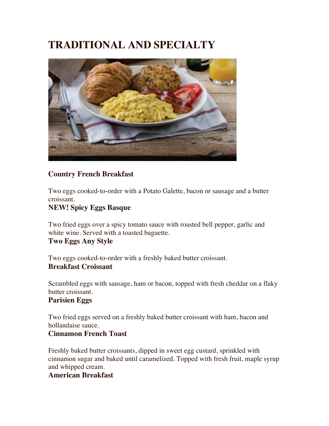# **TRADITIONAL AND SPECIALTY**



## **Country French Breakfast**

Two eggs cooked-to-order with a Potato Galette, bacon or sausage and a butter croissant.

#### **NEW! Spicy Eggs Basque**

Two fried eggs over a spicy tomato sauce with roasted bell pepper, garlic and white wine. Served with a toasted baguette.

#### **Two Eggs Any Style**

Two eggs cooked-to-order with a freshly baked butter croissant. **Breakfast Croissant**

Scrambled eggs with sausage, ham or bacon, topped with fresh cheddar on a flaky butter croissant.

#### **Parisien Eggs**

Two fried eggs served on a freshly baked butter croissant with ham, bacon and hollandaise sauce.

#### **Cinnamon French Toast**

Freshly baked butter croissants, dipped in sweet egg custard, sprinkled with cinnamon sugar and baked until caramelized. Topped with fresh fruit, maple syrup and whipped cream.

#### **American Breakfast**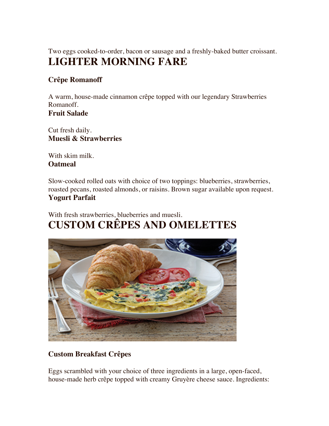Two eggs cooked-to-order, bacon or sausage and a freshly-baked butter croissant. **LIGHTER MORNING FARE**

## **Crêpe Romanoff**

A warm, house-made cinnamon crêpe topped with our legendary Strawberries Romanoff. **Fruit Salade**

Cut fresh daily. **Muesli & Strawberries**

With skim milk. **Oatmeal**

Slow-cooked rolled oats with choice of two toppings: blueberries, strawberries, roasted pecans, roasted almonds, or raisins. Brown sugar available upon request. **Yogurt Parfait**

With fresh strawberries, blueberries and muesli. **CUSTOM CRÊPES AND OMELETTES**



## **Custom Breakfast Crêpes**

Eggs scrambled with your choice of three ingredients in a large, open-faced, house-made herb crêpe topped with creamy Gruyère cheese sauce. Ingredients: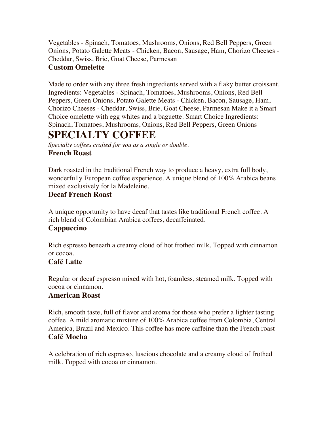Vegetables - Spinach, Tomatoes, Mushrooms, Onions, Red Bell Peppers, Green Onions, Potato Galette Meats - Chicken, Bacon, Sausage, Ham, Chorizo Cheeses - Cheddar, Swiss, Brie, Goat Cheese, Parmesan

#### **Custom Omelette**

Made to order with any three fresh ingredients served with a flaky butter croissant. Ingredients: Vegetables - Spinach, Tomatoes, Mushrooms, Onions, Red Bell Peppers, Green Onions, Potato Galette Meats - Chicken, Bacon, Sausage, Ham, Chorizo Cheeses - Cheddar, Swiss, Brie, Goat Cheese, Parmesan Make it a Smart Choice omelette with egg whites and a baguette. Smart Choice Ingredients: Spinach, Tomatoes, Mushrooms, Onions, Red Bell Peppers, Green Onions

## **SPECIALTY COFFEE**

*Specialty coffees crafted for you as a single or double.* **French Roast**

Dark roasted in the traditional French way to produce a heavy, extra full body, wonderfully European coffee experience. A unique blend of 100% Arabica beans mixed exclusively for la Madeleine.

## **Decaf French Roast**

A unique opportunity to have decaf that tastes like traditional French coffee. A rich blend of Colombian Arabica coffees, decaffeinated.

## **Cappuccino**

Rich espresso beneath a creamy cloud of hot frothed milk. Topped with cinnamon or cocoa.

#### **Café Latte**

Regular or decaf espresso mixed with hot, foamless, steamed milk. Topped with cocoa or cinnamon.

#### **American Roast**

Rich, smooth taste, full of flavor and aroma for those who prefer a lighter tasting coffee. A mild aromatic mixture of 100% Arabica coffee from Colombia, Central America, Brazil and Mexico. This coffee has more caffeine than the French roast **Café Mocha**

A celebration of rich espresso, luscious chocolate and a creamy cloud of frothed milk. Topped with cocoa or cinnamon.